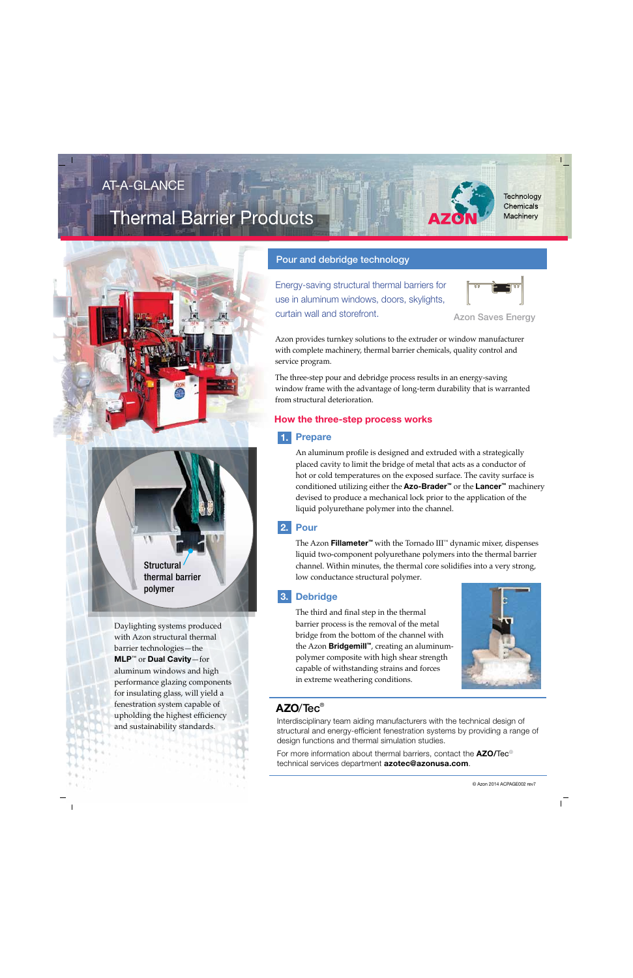## AT-A-GLANCE

# Thermal Barrier Products





**Structural** thermal barrier polymer

Daylighting systems produced with Azon structural thermal barrier technologies—the **MLP**™ or **Dual Cavity**—for aluminum windows and high performance glazing components for insulating glass, will yield a fenestration system capable of upholding the highest efficiency and sustainability standards.

### Pour and debridge technology

Energy-saving structural thermal barriers for use in aluminum windows, doors, skylights, curtain wall and storefront. Azon Saves Energy



Azon provides turnkey solutions to the extruder or window manufacturer with complete machinery, thermal barrier chemicals, quality control and service program.

The three-step pour and debridge process results in an energy-saving window frame with the advantage of long-term durability that is warranted from structural deterioration.

### **How the three-step process works**

### **Prepare 1.**

An aluminum profile is designed and extruded with a strategically placed cavity to limit the bridge of metal that acts as a conductor of hot or cold temperatures on the exposed surface. The cavity surface is conditioned utilizing either the **Azo-Brader™** or the **Lancer™** machinery devised to produce a mechanical lock prior to the application of the liquid polyurethane polymer into the channel.

### **Pour 2.**

The Azon **Fillameter™** with the Tornado III™ dynamic mixer, dispenses liquid two-component polyurethane polymers into the thermal barrier channel. Within minutes, the thermal core solidifies into a very strong, low conductance structural polymer.

### **Debridge 3.**

The third and final step in the thermal barrier process is the removal of the metal bridge from the bottom of the channel with the Azon **Bridgemill™**, creating an aluminumpolymer composite with high shear strength capable of withstanding strains and forces in extreme weathering conditions.



### **AZO**/Tec®

Interdisciplinary team aiding manufacturers with the technical design of structural and energy-efficient fenestration systems by providing a range of design functions and thermal simulation studies.

For more information about thermal barriers, contact the **AZO/**Tec® technical services department **azotec@azonusa.com**.